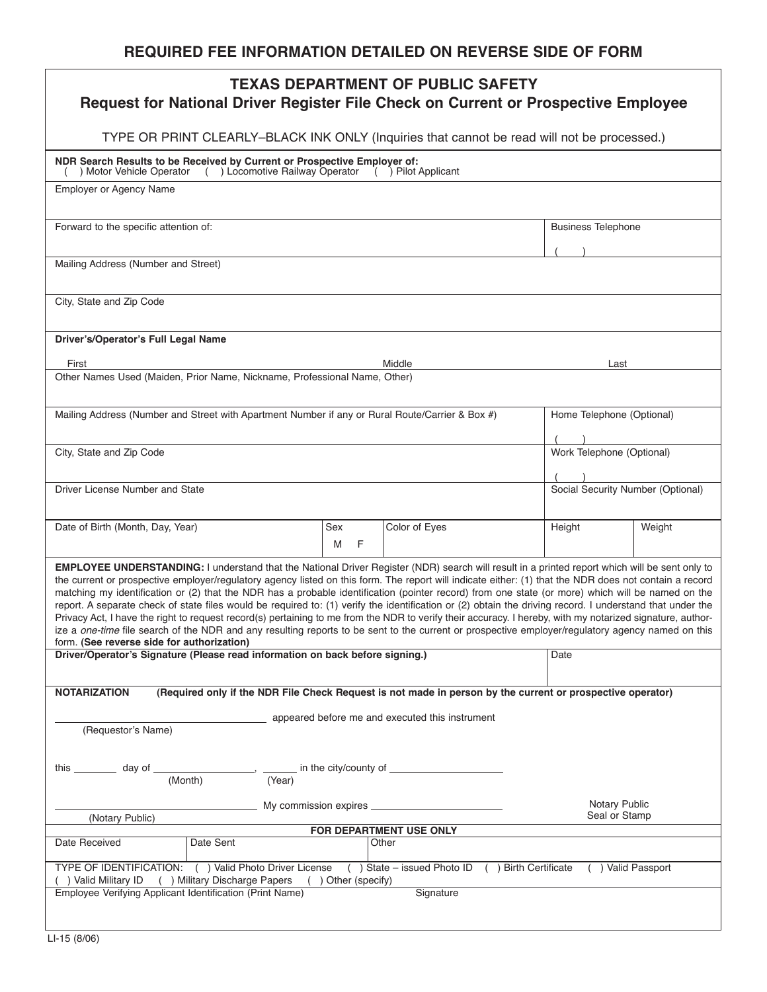| <b>TEXAS DEPARTMENT OF PUBLIC SAFETY</b><br>Request for National Driver Register File Check on Current or Prospective Employee                                                                                                                                                                                                                                                                                                                                                                                                                                                                                                                                                                                                                                                                                                                                                                                                                                                                                                                                                      |                          |               |                         |        |                                       |  |  |
|-------------------------------------------------------------------------------------------------------------------------------------------------------------------------------------------------------------------------------------------------------------------------------------------------------------------------------------------------------------------------------------------------------------------------------------------------------------------------------------------------------------------------------------------------------------------------------------------------------------------------------------------------------------------------------------------------------------------------------------------------------------------------------------------------------------------------------------------------------------------------------------------------------------------------------------------------------------------------------------------------------------------------------------------------------------------------------------|--------------------------|---------------|-------------------------|--------|---------------------------------------|--|--|
| TYPE OR PRINT CLEARLY-BLACK INK ONLY (Inquiries that cannot be read will not be processed.)                                                                                                                                                                                                                                                                                                                                                                                                                                                                                                                                                                                                                                                                                                                                                                                                                                                                                                                                                                                         |                          |               |                         |        |                                       |  |  |
| NDR Search Results to be Received by Current or Prospective Employer of:<br>( ) Locomotive Railway Operator ( ) Pilot Applicant<br>) Motor Vehicle Operator                                                                                                                                                                                                                                                                                                                                                                                                                                                                                                                                                                                                                                                                                                                                                                                                                                                                                                                         |                          |               |                         |        |                                       |  |  |
| <b>Employer or Agency Name</b>                                                                                                                                                                                                                                                                                                                                                                                                                                                                                                                                                                                                                                                                                                                                                                                                                                                                                                                                                                                                                                                      |                          |               |                         |        |                                       |  |  |
| Forward to the specific attention of:                                                                                                                                                                                                                                                                                                                                                                                                                                                                                                                                                                                                                                                                                                                                                                                                                                                                                                                                                                                                                                               |                          |               |                         |        | <b>Business Telephone</b>             |  |  |
| Mailing Address (Number and Street)                                                                                                                                                                                                                                                                                                                                                                                                                                                                                                                                                                                                                                                                                                                                                                                                                                                                                                                                                                                                                                                 |                          |               |                         |        |                                       |  |  |
| City, State and Zip Code                                                                                                                                                                                                                                                                                                                                                                                                                                                                                                                                                                                                                                                                                                                                                                                                                                                                                                                                                                                                                                                            |                          |               |                         |        |                                       |  |  |
| Driver's/Operator's Full Legal Name                                                                                                                                                                                                                                                                                                                                                                                                                                                                                                                                                                                                                                                                                                                                                                                                                                                                                                                                                                                                                                                 |                          |               |                         |        |                                       |  |  |
| First                                                                                                                                                                                                                                                                                                                                                                                                                                                                                                                                                                                                                                                                                                                                                                                                                                                                                                                                                                                                                                                                               |                          |               | Middle                  |        | Last                                  |  |  |
| Other Names Used (Maiden, Prior Name, Nickname, Professional Name, Other)                                                                                                                                                                                                                                                                                                                                                                                                                                                                                                                                                                                                                                                                                                                                                                                                                                                                                                                                                                                                           |                          |               |                         |        |                                       |  |  |
| Mailing Address (Number and Street with Apartment Number if any or Rural Route/Carrier & Box #)                                                                                                                                                                                                                                                                                                                                                                                                                                                                                                                                                                                                                                                                                                                                                                                                                                                                                                                                                                                     |                          |               |                         |        | Home Telephone (Optional)             |  |  |
| City, State and Zip Code                                                                                                                                                                                                                                                                                                                                                                                                                                                                                                                                                                                                                                                                                                                                                                                                                                                                                                                                                                                                                                                            |                          |               |                         |        | Work Telephone (Optional)             |  |  |
| Driver License Number and State                                                                                                                                                                                                                                                                                                                                                                                                                                                                                                                                                                                                                                                                                                                                                                                                                                                                                                                                                                                                                                                     |                          |               |                         |        | Social Security Number (Optional)     |  |  |
| Date of Birth (Month, Day, Year)                                                                                                                                                                                                                                                                                                                                                                                                                                                                                                                                                                                                                                                                                                                                                                                                                                                                                                                                                                                                                                                    | Sex<br>M<br>$\mathsf{F}$ | Color of Eyes |                         | Height | Weight                                |  |  |
| EMPLOYEE UNDERSTANDING: I understand that the National Driver Register (NDR) search will result in a printed report which will be sent only to<br>the current or prospective employer/regulatory agency listed on this form. The report will indicate either: (1) that the NDR does not contain a record<br>matching my identification or (2) that the NDR has a probable identification (pointer record) from one state (or more) which will be named on the<br>report. A separate check of state files would be required to: (1) verify the identification or (2) obtain the driving record. I understand that under the<br>Privacy Act, I have the right to request record(s) pertaining to me from the NDR to verify their accuracy. I hereby, with my notarized signature, author-<br>ize a one-time file search of the NDR and any resulting reports to be sent to the current or prospective employer/regulatory agency named on this<br>form. (See reverse side for authorization)<br>Driver/Operator's Signature (Please read information on back before signing.)<br>Date |                          |               |                         |        |                                       |  |  |
| <b>NOTARIZATION</b><br>(Required only if the NDR File Check Request is not made in person by the current or prospective operator)                                                                                                                                                                                                                                                                                                                                                                                                                                                                                                                                                                                                                                                                                                                                                                                                                                                                                                                                                   |                          |               |                         |        |                                       |  |  |
| appeared before me and executed this instrument<br>(Requestor's Name)                                                                                                                                                                                                                                                                                                                                                                                                                                                                                                                                                                                                                                                                                                                                                                                                                                                                                                                                                                                                               |                          |               |                         |        |                                       |  |  |
| this __________ day of _______________________, ________ in the city/county of _____________________<br>(Month)<br>(Year)                                                                                                                                                                                                                                                                                                                                                                                                                                                                                                                                                                                                                                                                                                                                                                                                                                                                                                                                                           |                          |               |                         |        |                                       |  |  |
| (Notary Public)                                                                                                                                                                                                                                                                                                                                                                                                                                                                                                                                                                                                                                                                                                                                                                                                                                                                                                                                                                                                                                                                     |                          |               |                         |        | <b>Notary Public</b><br>Seal or Stamp |  |  |
|                                                                                                                                                                                                                                                                                                                                                                                                                                                                                                                                                                                                                                                                                                                                                                                                                                                                                                                                                                                                                                                                                     |                          |               | FOR DEPARTMENT USE ONLY |        |                                       |  |  |
| Date Received                                                                                                                                                                                                                                                                                                                                                                                                                                                                                                                                                                                                                                                                                                                                                                                                                                                                                                                                                                                                                                                                       | Date Sent                |               | Other                   |        |                                       |  |  |
| TYPE OF IDENTIFICATION: () Valid Photo Driver License () State – issued Photo ID () Birth Certificate () Valid Passport<br>() Valid Military ID () Military Discharge Papers () Other (specify)<br>Employee Verifying Applicant Identification (Print Name)<br>Signature                                                                                                                                                                                                                                                                                                                                                                                                                                                                                                                                                                                                                                                                                                                                                                                                            |                          |               |                         |        |                                       |  |  |
|                                                                                                                                                                                                                                                                                                                                                                                                                                                                                                                                                                                                                                                                                                                                                                                                                                                                                                                                                                                                                                                                                     |                          |               |                         |        |                                       |  |  |